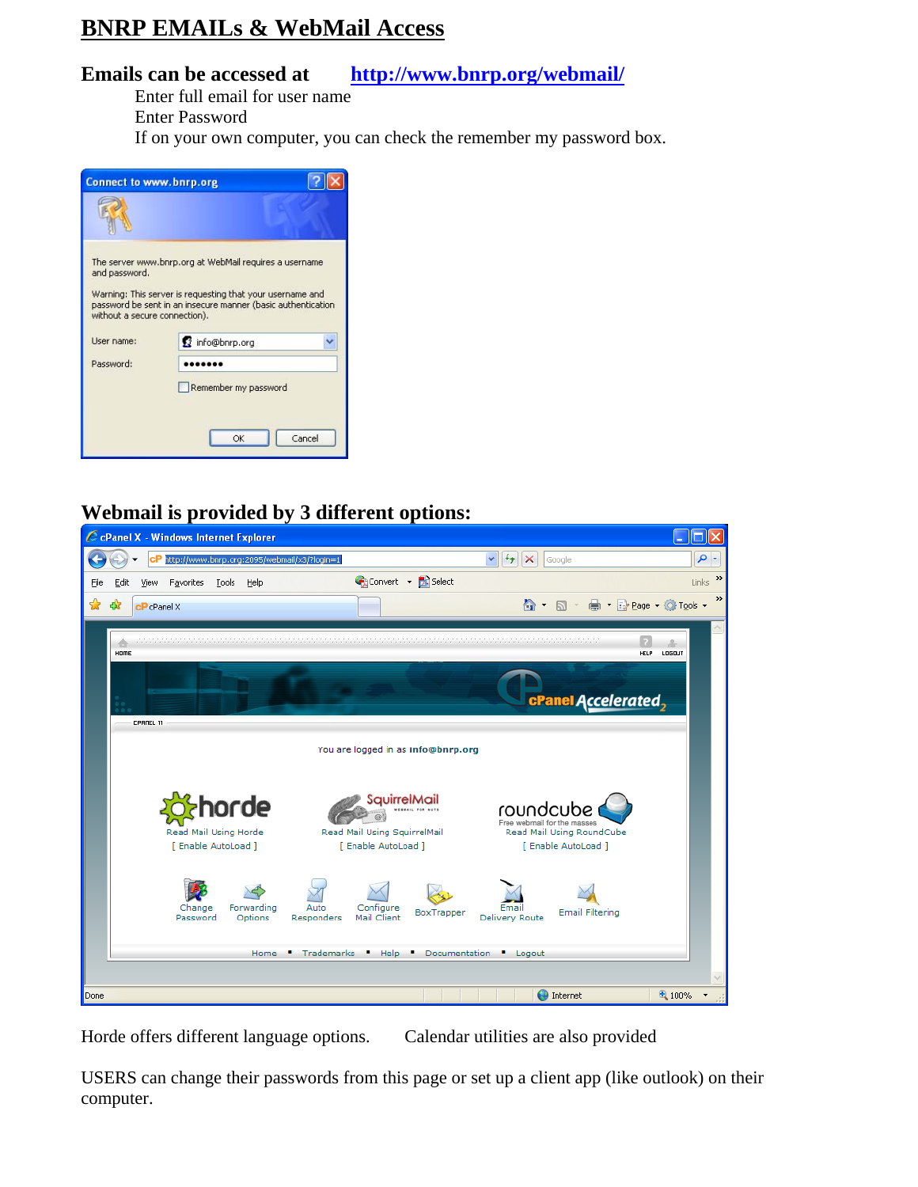## **BNRP EMAILs & WebMail Access**

## **Emails can be accessed at http://www.bnrp.org/webmail/**

Enter full email for user name

Enter Password

If on your own computer, you can check the remember my password box.

| <b>Connect to www.bnrp.org</b>                 |                                                                                                                                                                                     |  |  |
|------------------------------------------------|-------------------------------------------------------------------------------------------------------------------------------------------------------------------------------------|--|--|
|                                                |                                                                                                                                                                                     |  |  |
| and password.<br>without a secure connection). | The server www.bnrp.org at WebMail requires a username<br>Warning: This server is requesting that your username and<br>password be sent in an insecure manner (basic authentication |  |  |
| User name:                                     | info@bnrp.org                                                                                                                                                                       |  |  |
| Password:                                      |                                                                                                                                                                                     |  |  |
|                                                | Remember my password                                                                                                                                                                |  |  |
|                                                | Cancel<br>OK                                                                                                                                                                        |  |  |

## **Webmail is provided by 3 different options:**



Horde offers different language options. Calendar utilities are also provided

USERS can change their passwords from this page or set up a client app (like outlook) on their computer.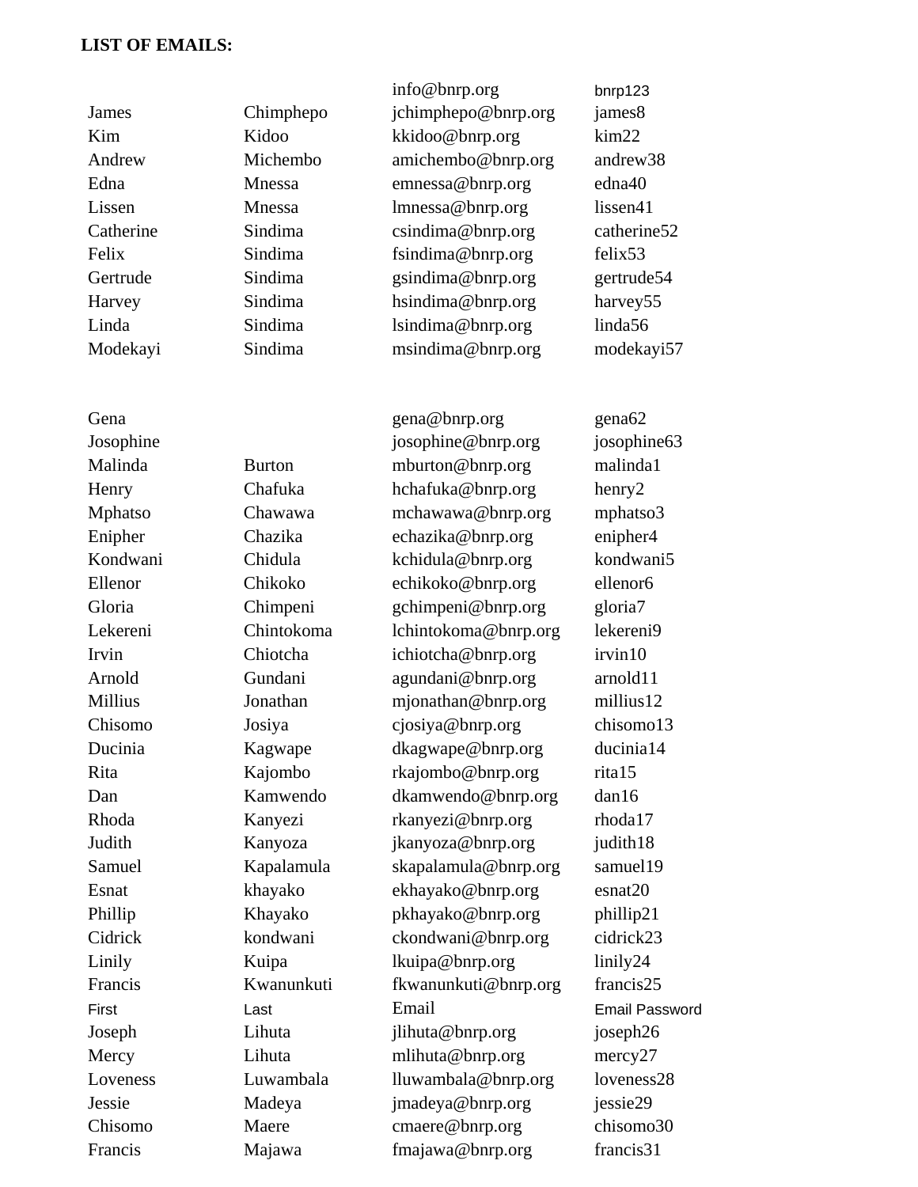## **LIST OF EMAILS:**

|           |               | info@bnrp.org        | bnrp123              |
|-----------|---------------|----------------------|----------------------|
| James     | Chimphepo     | jchimphepo@bnrp.org  | james8               |
| Kim       | Kidoo         | kkidoo@bnrp.org      | $\text{kim22}$       |
| Andrew    | Michembo      | amichembo@bnrp.org   | andrew <sub>38</sub> |
| Edna      | Mnessa        | emnessa@bnrp.org     | edna40               |
| Lissen    | Mnessa        | lmnessa@bnrp.org     | lissen41             |
| Catherine | Sindima       | csindima@bnrp.org    | catherine52          |
| Felix     | Sindima       | fsindima@bnrp.org    | felix <sub>53</sub>  |
| Gertrude  | Sindima       | gsindima@bnrp.org    | gertrude54           |
| Harvey    | Sindima       | hsindima@bnrp.org    | harvey55             |
| Linda     | Sindima       | lsindima@bnrp.org    | linda56              |
| Modekayi  | Sindima       | msindima@bnrp.org    | modekayi57           |
|           |               |                      |                      |
| Gena      |               | gena@bnrp.org        | gena <sub>62</sub>   |
| Josophine |               | josophine@bnrp.org   | josophine63          |
| Malinda   | <b>Burton</b> | mburton@bnrp.org     | malinda1             |
| Henry     | Chafuka       | hchafuka@bnrp.org    | henry2               |
| Mphatso   | Chawawa       | mchawawa@bnrp.org    | mphatso3             |
| Enipher   | Chazika       | echazika@bnrp.org    | enipher4             |
| Kondwani  | Chidula       | kchidula@bnrp.org    | kondwani5            |
| Ellenor   | Chikoko       | echikoko@bnrp.org    | ellenor6             |
| Gloria    | Chimpeni      | gchimpeni@bnrp.org   | gloria7              |
| Lekereni  | Chintokoma    | lchintokoma@bnrp.org | lekereni9            |
| Irvin     | Chiotcha      | ichiotcha@bnrp.org   | irvin10              |
| Arnold    | Gundani       | agundani@bnrp.org    | arnold11             |
| Millius   | Jonathan      | mjonathan@bnrp.org   | millius12            |
| Chisomo   | Josiya        | cjosiya@bnrp.org     | chisomo13            |
| Ducinia   | Kagwape       | dkagwape@bnrp.org    | ducinia14            |
| Rita      | Kajombo       | rkajombo@bnrp.org    | rita15               |
| Dan       | Kamwendo      | dkamwendo@bnrp.org   | dan16                |
| Rhoda     | Kanyezi       | rkanyezi@bnrp.org    | rhoda17              |
| Judith    | Kanyoza       | jkanyoza@bnrp.org    | judith18             |
| Samuel    | Kapalamula    | skapalamula@bnrp.org | samuel19             |
| Esnat     | khayako       | ekhayako@bnrp.org    | esnat20              |
| Phillip   | Khayako       | pkhayako@bnrp.org    | phillip21            |
| Cidrick   | kondwani      | ckondwani@bnrp.org   | cidrick23            |
| Linily    | Kuipa         | lkuipa@bnrp.org      | linily24             |
| Francis   | Kwanunkuti    | fkwanunkuti@bnrp.org | francis25            |
| First     | Last          | Email                | Email Password       |
| Joseph    | Lihuta        | jlihuta@bnrp.org     | joseph26             |
| Mercy     | Lihuta        | mlihuta@bnrp.org     | mercy27              |
| Loveness  | Luwambala     | lluwambala@bnrp.org  | loveness28           |
| Jessie    | Madeya        | jmadeya@bnrp.org     | jessie29             |
| Chisomo   | Maere         | cmaere@bnrp.org      | chisomo30            |

Francis Majawa fmajawa@bnrp.org francis31